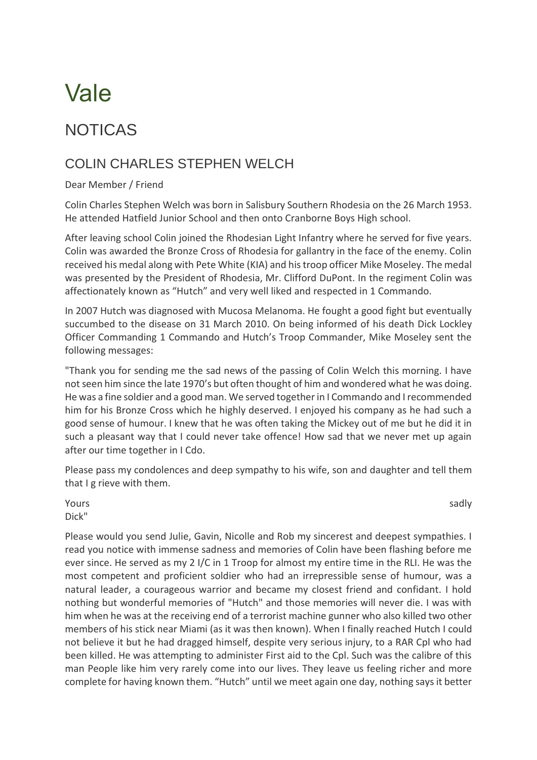# Vale

## NOTICAS

## COLIN CHARLES STEPHEN WELCH

### Dear Member / Friend

Colin Charles Stephen Welch was born in Salisbury Southern Rhodesia on the 26 March 1953. He attended Hatfield Junior School and then onto Cranborne Boys High school.

After leaving school Colin joined the Rhodesian Light Infantry where he served for five years. Colin was awarded the Bronze Cross of Rhodesia for gallantry in the face of the enemy. Colin received his medal along with Pete White (KIA) and his troop officer Mike Moseley. The medal was presented by the President of Rhodesia, Mr. Clifford DuPont. In the regiment Colin was affectionately known as "Hutch" and very well liked and respected in 1 Commando.

In 2007 Hutch was diagnosed with Mucosa Melanoma. He fought a good fight but eventually succumbed to the disease on 31 March 2010. On being informed of his death Dick Lockley Officer Commanding 1 Commando and Hutch's Troop Commander, Mike Moseley sent the following messages:

"Thank you for sending me the sad news of the passing of Colin Welch this morning. I have not seen him since the late 1970's but often thought of him and wondered what he was doing. He was a fine soldier and a good man. We served together in I Commando and I recommended him for his Bronze Cross which he highly deserved. I enjoyed his company as he had such a good sense of humour. I knew that he was often taking the Mickey out of me but he did it in such a pleasant way that I could never take offence! How sad that we never met up again after our time together in I Cdo.

Please pass my condolences and deep sympathy to his wife, son and daughter and tell them that I g rieve with them.

Yours sadly a state of the control of the control of the control of the control of the control of the control of the control of the control of the control of the control of the control of the control of the control of the Dick"

Please would you send Julie, Gavin, Nicolle and Rob my sincerest and deepest sympathies. I read you notice with immense sadness and memories of Colin have been flashing before me ever since. He served as my 2 I/C in 1 Troop for almost my entire time in the RLI. He was the most competent and proficient soldier who had an irrepressible sense of humour, was a natural leader, a courageous warrior and became my closest friend and confidant. I hold nothing but wonderful memories of "Hutch" and those memories will never die. I was with him when he was at the receiving end of a terrorist machine gunner who also killed two other members of his stick near Miami (as it was then known). When I finally reached Hutch I could not believe it but he had dragged himself, despite very serious injury, to a RAR Cpl who had been killed. He was attempting to administer First aid to the Cpl. Such was the calibre of this man People like him very rarely come into our lives. They leave us feeling richer and more complete for having known them. "Hutch" until we meet again one day, nothing says it better